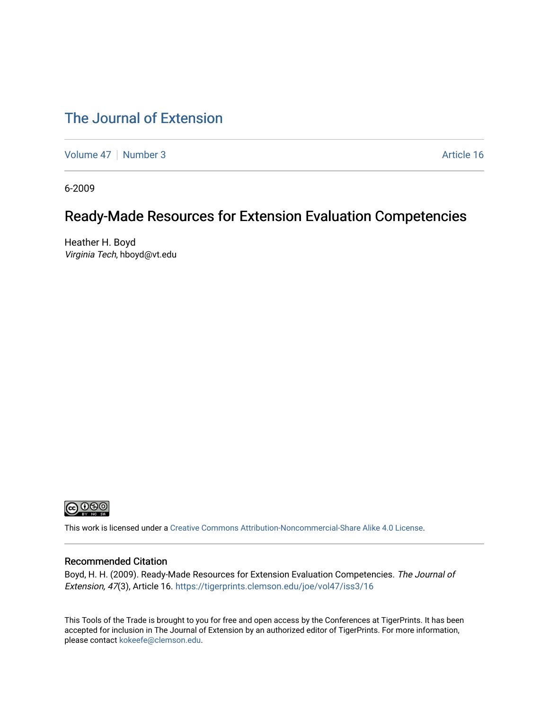### [The Journal of Extension](https://tigerprints.clemson.edu/joe)

[Volume 47](https://tigerprints.clemson.edu/joe/vol47) | [Number 3](https://tigerprints.clemson.edu/joe/vol47/iss3) Article 16

6-2009

# Ready-Made Resources for Extension Evaluation Competencies

Heather H. Boyd Virginia Tech, hboyd@vt.edu



This work is licensed under a [Creative Commons Attribution-Noncommercial-Share Alike 4.0 License.](https://creativecommons.org/licenses/by-nc-sa/4.0/)

#### Recommended Citation

Boyd, H. H. (2009). Ready-Made Resources for Extension Evaluation Competencies. The Journal of Extension, 47(3), Article 16. <https://tigerprints.clemson.edu/joe/vol47/iss3/16>

This Tools of the Trade is brought to you for free and open access by the Conferences at TigerPrints. It has been accepted for inclusion in The Journal of Extension by an authorized editor of TigerPrints. For more information, please contact [kokeefe@clemson.edu](mailto:kokeefe@clemson.edu).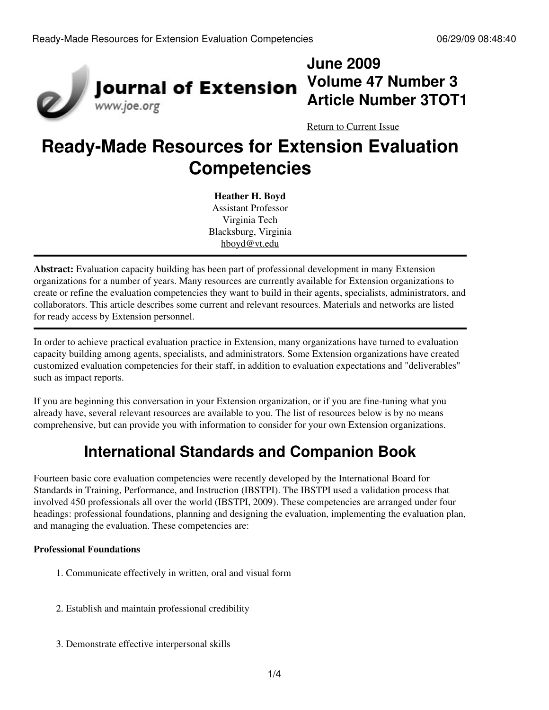

# **June 2009 Volume 47 Number 3 Article Number 3TOT1**

[Return to Current Issue](http://www.joe.org:80/joe/2009june/)

# **Ready-Made Resources for Extension Evaluation Competencies**

**Heather H. Boyd** Assistant Professor Virginia Tech Blacksburg, Virginia [hboyd@vt.edu](mailto:hboyd@vt.edu)

**Abstract:** Evaluation capacity building has been part of professional development in many Extension organizations for a number of years. Many resources are currently available for Extension organizations to create or refine the evaluation competencies they want to build in their agents, specialists, administrators, and collaborators. This article describes some current and relevant resources. Materials and networks are listed for ready access by Extension personnel.

In order to achieve practical evaluation practice in Extension, many organizations have turned to evaluation capacity building among agents, specialists, and administrators. Some Extension organizations have created customized evaluation competencies for their staff, in addition to evaluation expectations and "deliverables" such as impact reports.

If you are beginning this conversation in your Extension organization, or if you are fine-tuning what you already have, several relevant resources are available to you. The list of resources below is by no means comprehensive, but can provide you with information to consider for your own Extension organizations.

# **International Standards and Companion Book**

Fourteen basic core evaluation competencies were recently developed by the International Board for Standards in Training, Performance, and Instruction (IBSTPI). The IBSTPI used a validation process that involved 450 professionals all over the world (IBSTPI, 2009). These competencies are arranged under four headings: professional foundations, planning and designing the evaluation, implementing the evaluation plan, and managing the evaluation. These competencies are:

#### **Professional Foundations**

- 1. Communicate effectively in written, oral and visual form
- 2. Establish and maintain professional credibility
- 3. Demonstrate effective interpersonal skills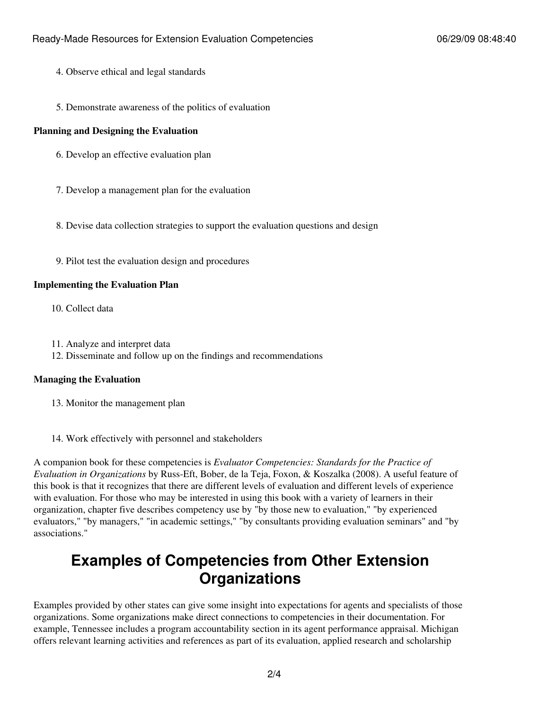- 4. Observe ethical and legal standards
- 5. Demonstrate awareness of the politics of evaluation

#### **Planning and Designing the Evaluation**

- 6. Develop an effective evaluation plan
- 7. Develop a management plan for the evaluation
- 8. Devise data collection strategies to support the evaluation questions and design
- 9. Pilot test the evaluation design and procedures

#### **Implementing the Evaluation Plan**

- 10. Collect data
- 11. Analyze and interpret data
- 12. Disseminate and follow up on the findings and recommendations

#### **Managing the Evaluation**

- 13. Monitor the management plan
- 14. Work effectively with personnel and stakeholders

A companion book for these competencies is *Evaluator Competencies: Standards for the Practice of Evaluation in Organizations* by Russ-Eft, Bober, de la Teja, Foxon, & Koszalka (2008). A useful feature of this book is that it recognizes that there are different levels of evaluation and different levels of experience with evaluation. For those who may be interested in using this book with a variety of learners in their organization, chapter five describes competency use by "by those new to evaluation," "by experienced evaluators," "by managers," "in academic settings," "by consultants providing evaluation seminars" and "by associations."

### **Examples of Competencies from Other Extension Organizations**

Examples provided by other states can give some insight into expectations for agents and specialists of those organizations. Some organizations make direct connections to competencies in their documentation. For example, Tennessee includes a program accountability section in its agent performance appraisal. Michigan offers relevant learning activities and references as part of its evaluation, applied research and scholarship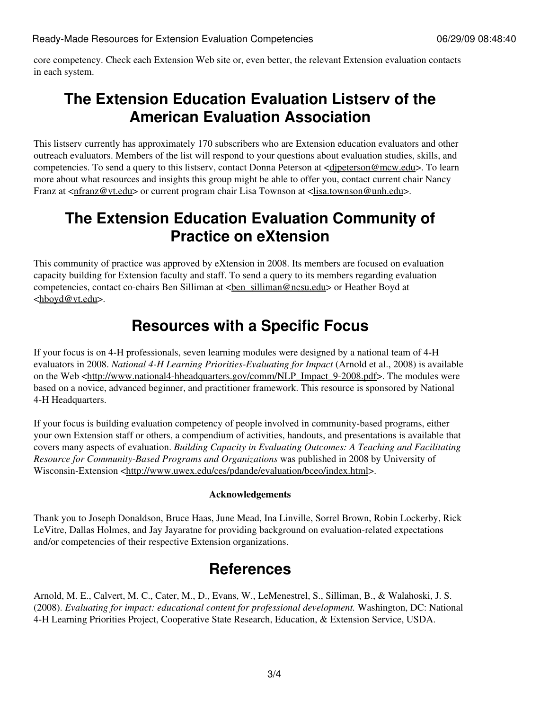core competency. Check each Extension Web site or, even better, the relevant Extension evaluation contacts in each system.

### **The Extension Education Evaluation Listserv of the American Evaluation Association**

This listserv currently has approximately 170 subscribers who are Extension education evaluators and other outreach evaluators. Members of the list will respond to your questions about evaluation studies, skills, and competencies. To send a query to this listserv, contact Donna Peterson at <[djpeterson@mcw.edu>](mailto:djpeterson@mcw.edu). To learn more about what resources and insights this group might be able to offer you, contact current chair Nancy Franz at [<nfranz@vt.edu>](mailto:nfranz@vt.edu) or current program chair Lisa Townson at <[lisa.townson@unh.edu](mailto:lisa.townson@unh.edu)>.

### **The Extension Education Evaluation Community of Practice on eXtension**

This community of practice was approved by eXtension in 2008. Its members are focused on evaluation capacity building for Extension faculty and staff. To send a query to its members regarding evaluation competencies, contact co-chairs Ben Silliman at <br/> <br/>  $\epsilon$  silliman@ncsu.edu> or Heather Boyd at <[hboyd@vt.edu>](mailto:hboyd@vt.edu).

### **Resources with a Specific Focus**

If your focus is on 4-H professionals, seven learning modules were designed by a national team of 4-H evaluators in 2008. *National 4-H Learning Priorities-Evaluating for Impact* (Arnold et al., 2008) is available on the Web [<http://www.national4-hheadquarters.gov/comm/NLP\\_Impact\\_9-2008.pdf](http://www.national4-hheadquarters.gov/comm/NLP_Impact_9-2008.pdf)>. The modules were based on a novice, advanced beginner, and practitioner framework. This resource is sponsored by National 4-H Headquarters.

If your focus is building evaluation competency of people involved in community-based programs, either your own Extension staff or others, a compendium of activities, handouts, and presentations is available that covers many aspects of evaluation. *Building Capacity in Evaluating Outcomes: A Teaching and Facilitating Resource for Community-Based Programs and Organizations* was published in 2008 by University of Wisconsin-Extension <<http://www.uwex.edu/ces/pdande/evaluation/bceo/index.html>>.

#### **Acknowledgements**

Thank you to Joseph Donaldson, Bruce Haas, June Mead, Ina Linville, Sorrel Brown, Robin Lockerby, Rick LeVitre, Dallas Holmes, and Jay Jayaratne for providing background on evaluation-related expectations and/or competencies of their respective Extension organizations.

### **References**

Arnold, M. E., Calvert, M. C., Cater, M., D., Evans, W., LeMenestrel, S., Silliman, B., & Walahoski, J. S. (2008). *Evaluating for impact: educational content for professional development.* Washington, DC: National 4-H Learning Priorities Project, Cooperative State Research, Education, & Extension Service, USDA.